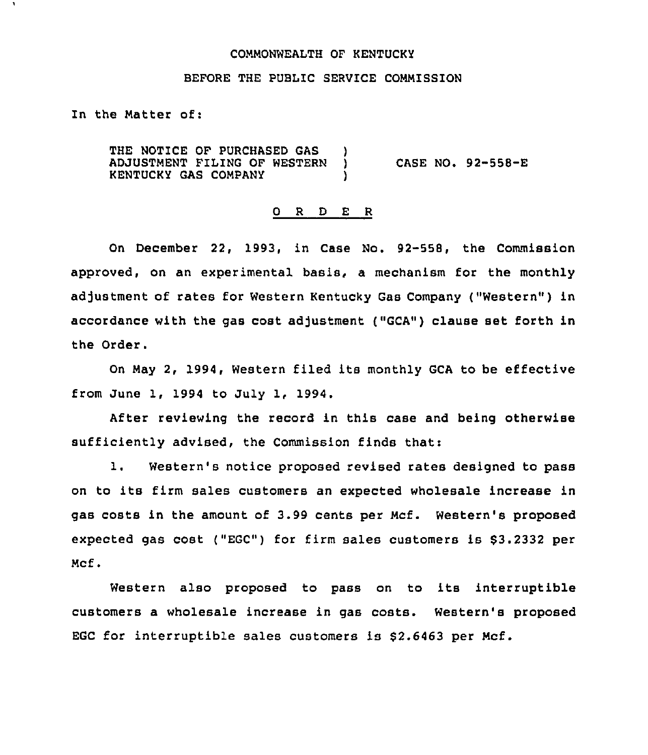#### COMMONWEALTH OF KENTUCKY

### BEFORE THE PUBLIC SERVICE COMMISSION

In the Matter of:

THE NOTICE OF PURCHASED GAS )<br>ADJUSTMENT FILING OF WESTERN ) ADJUSTMENT FILING OF WESTERN )<br>KENTUCKY GAS COMPANY KENTUCKY GAS COMPANY ) CASE NO. 92-558-E

#### 0 <sup>R</sup> <sup>D</sup> E R

On December 22, 1993, in Case No. 92-558, the Commission approved, on an experimental basis, a mechanism for the monthly adjustment of rates for Western Kentucky Gas Company ("Western" ) in accordance with the gas cost adjustment ("GCA") clause set forth in the Order.

On May 2, 1994, Western filed its monthly GCA to be effective from June 1, 1994 to July 1, 1994.

After reviewing the record in this case and being otherwise sufficiently advised, the Commission finds that:

1. Western's notice proposed revised rates designed to pass on to its firm sales customers an expected wholesale increase in gas costs in the amount of 3.99 cents per Mcf. Western's proposed expected gas cost ("EGC") for firm sales customers is \$3.2332 per Mcf.

Western also proposed to pass on to its interruptible customers a wholesale increase in gas costs. Western's proposed EGC for interruptible sales customers is  $$2.6463$  per Mcf.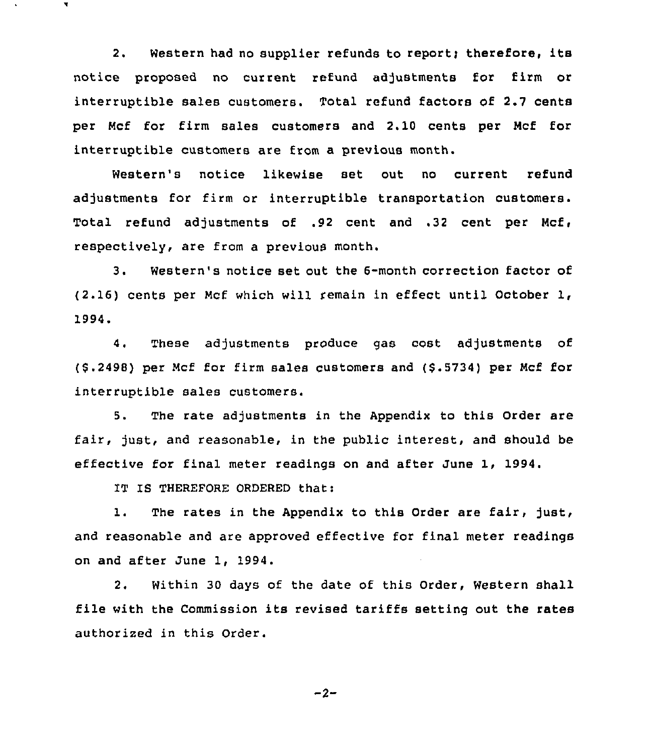2. Western had no supplier refunds to report; therefore, its notice proposed no current refund adjustments for firm or interruptible sales customers. Total refund factors of 2.7 cents per Ncf for firm sales customers and 2.10 cents per Ncf for interruptible customers are from a previous month.

Western's notice likewise set out no current refund adjustments for firm or interruptible transportation customers. Total refund adjustments of .92 cent and .32 cent per Mcf, respectively, are from a previous month.

3. Western's notice set out the 6-month correction factor of (2.16) cents per Ncf which will remain in effect until October 1, 1994.

4. These adjustments produce gas cost adjustments of (6.2498) per Ncf for firm sales customers and (6.6734) per Ncf for interruptible sales customers.

5. The rate adjustments in the Appendix to this Order are fair, just, and reasonable, in the public interest, and should be effective for final meter readings on and after June 1, 1994.

IT IS THEREFORE ORDERED that:

7

1. The rates in the Appendix to this Order are fair, just, and reasonable and are approved effective for final meter readings on and after June 1, 1994.

2. Within 30 days of the date of this Order, Western shall file with the Commission its revised tariffs setting out the rates authorized in this Order.

$$
-2 -
$$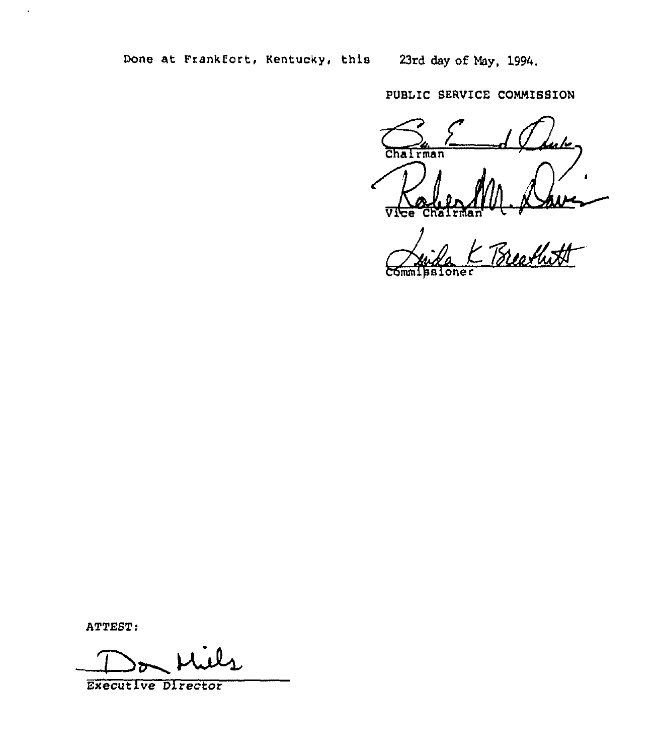Done at Frankfort, Kentucky, this 23rd day of May, 1994.

PUBLIC SERVICE COMMISSION

<u>ulu</u> Chairman Vice

M. Dave ChairNan'ammipsioner Commissioner

ATTEST:

 $\ddot{\phantom{1}}$ 

ATTEST!